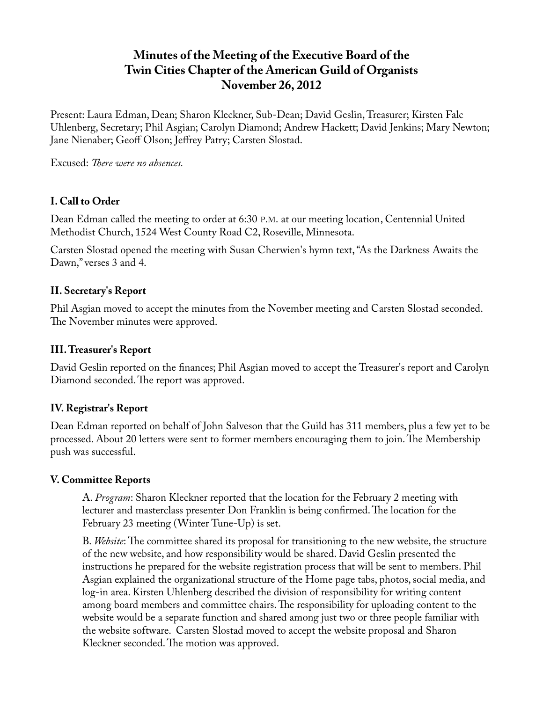# **Minutes of the Meeting of the Executive Board of the Twin Cities Chapter of the American Guild of Organists November 26, 2012**

Present: Laura Edman, Dean; Sharon Kleckner, Sub-Dean; David Geslin, Treasurer; Kirsten Falc Uhlenberg, Secretary; Phil Asgian; Carolyn Diamond; Andrew Hackett; David Jenkins; Mary Newton; Jane Nienaber; Geoff Olson; Jeffrey Patry; Carsten Slostad.

Excused: *There were no absences.*

## **I. Call to Order**

Dean Edman called the meeting to order at 6:30 P.M. at our meeting location, Centennial United Methodist Church, 1524 West County Road C2, Roseville, Minnesota.

Carsten Slostad opened the meeting with Susan Cherwien's hymn text, "As the Darkness Awaits the Dawn," verses 3 and 4.

## **II. Secretary's Report**

Phil Asgian moved to accept the minutes from the November meeting and Carsten Slostad seconded. The November minutes were approved.

#### **III. Treasurer's Report**

David Geslin reported on the finances; Phil Asgian moved to accept the Treasurer's report and Carolyn Diamond seconded. The report was approved.

## **IV. Registrar's Report**

Dean Edman reported on behalf of John Salveson that the Guild has 311 members, plus a few yet to be processed. About 20 letters were sent to former members encouraging them to join. The Membership push was successful.

#### **V. Committee Reports**

A. *Program*: Sharon Kleckner reported that the location for the February 2 meeting with lecturer and masterclass presenter Don Franklin is being confirmed. The location for the February 23 meeting (Winter Tune-Up) is set.

B. *Website*: The committee shared its proposal for transitioning to the new website, the structure of the new website, and how responsibility would be shared. David Geslin presented the instructions he prepared for the website registration process that will be sent to members. Phil Asgian explained the organizational structure of the Home page tabs, photos, social media, and log-in area. Kirsten Uhlenberg described the division of responsibility for writing content among board members and committee chairs. The responsibility for uploading content to the website would be a separate function and shared among just two or three people familiar with the website software. Carsten Slostad moved to accept the website proposal and Sharon Kleckner seconded. The motion was approved.